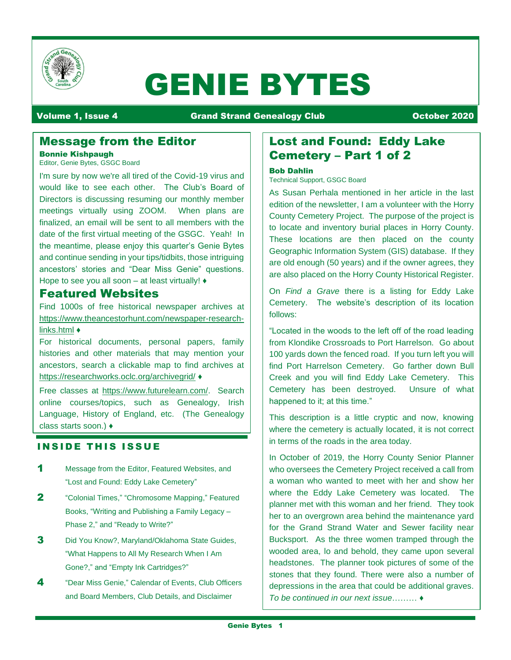

# GENIE BYTES

#### Volume 1, Issue 4 Grand Strand Genealogy Club October 2020

## Message from the Editor

#### Bonnie Kishpaugh

Editor, Genie Bytes, GSGC Board

I'm sure by now we're all tired of the Covid-19 virus and would like to see each other. The Club's Board of Directors is discussing resuming our monthly member meetings virtually using ZOOM. When plans are finalized, an email will be sent to all members with the date of the first virtual meeting of the GSGC. Yeah! In the meantime, please enjoy this quarter's Genie Bytes and continue sending in your tips/tidbits, those intriguing ancestors' stories and "Dear Miss Genie" questions. Hope to see you all soon – at least virtually! ♦

## Featured Websites

Find 1000s of free historical newspaper archives at https://www.theancestorhunt.com/newspaper-researchlinks.html ♦

For historical documents, personal papers, family histories and other materials that may mention your ancestors, search a clickable map to find archives at https://researchworks.oclc.org/archivegrid/ ♦

Free classes at https://www.futurelearn.com/. Search online courses/topics, such as Genealogy, Irish Language, History of England, etc. (The Genealogy class starts soon.) ♦

## **INSIDE THIS ISSUE**

- 1 Message from the Editor, Featured Websites, and "Lost and Found: Eddy Lake Cemetery"
- **2** "Colonial Times," "Chromosome Mapping," Featured Books, "Writing and Publishing a Family Legacy – Phase 2," and "Ready to Write?"
- 3 Did You Know?, Maryland/Oklahoma State Guides, "What Happens to All My Research When I Am Gone?," and "Empty Ink Cartridges?"
- 4 "Dear Miss Genie," Calendar of Events, Club Officers and Board Members, Club Details, and Disclaimer

## Lost and Found: Eddy Lake Cemetery – Part 1 of 2

#### Bob Dahlin

Technical Support, GSGC Board

As Susan Perhala mentioned in her article in the last edition of the newsletter, I am a volunteer with the Horry County Cemetery Project. The purpose of the project is to locate and inventory burial places in Horry County. These locations are then placed on the county Geographic Information System (GIS) database. If they are old enough (50 years) and if the owner agrees, they are also placed on the Horry County Historical Register.

On *Find a Grave* there is a listing for Eddy Lake Cemetery. The website's description of its location follows:

"Located in the woods to the left off of the road leading from Klondike Crossroads to Port Harrelson. Go about 100 yards down the fenced road. If you turn left you will find Port Harrelson Cemetery. Go farther down Bull Creek and you will find Eddy Lake Cemetery. This Cemetery has been destroyed. Unsure of what happened to it; at this time."

This description is a little cryptic and now, knowing where the cemetery is actually located, it is not correct in terms of the roads in the area today.

In October of 2019, the Horry County Senior Planner who oversees the Cemetery Project received a call from a woman who wanted to meet with her and show her where the Eddy Lake Cemetery was located. The planner met with this woman and her friend. They took her to an overgrown area behind the maintenance yard for the Grand Strand Water and Sewer facility near Bucksport. As the three women tramped through the wooded area, lo and behold, they came upon several headstones. The planner took pictures of some of the stones that they found. There were also a number of depressions in the area that could be additional graves. *To be continued in our next issue*……… ♦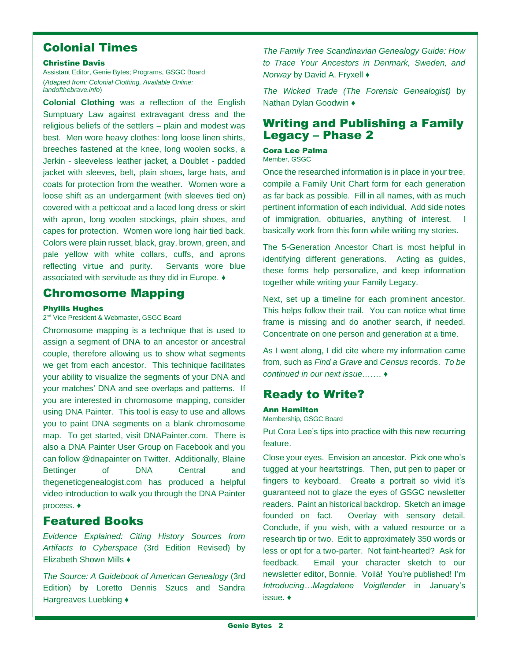## Colonial Times

#### Christine Davis

Assistant Editor, Genie Bytes; Programs, GSGC Board (*Adapted from: Colonial Clothing, Available Online: landofthebrave.info*)

**Colonial Clothing** was a reflection of the English Sumptuary Law against extravagant dress and the religious beliefs of the settlers – plain and modest was best. Men wore heavy clothes: long loose linen shirts, breeches fastened at the knee, long woolen socks, a Jerkin - sleeveless leather jacket, a Doublet - padded jacket with sleeves, belt, plain shoes, large hats, and coats for protection from the weather. Women wore a loose shift as an undergarment (with sleeves tied on) covered with a petticoat and a laced long dress or skirt with apron, long woolen stockings, plain shoes, and capes for protection. Women wore long hair tied back. Colors were plain russet, black, gray, brown, green, and pale yellow with white collars, cuffs, and aprons reflecting virtue and purity. Servants wore blue associated with servitude as they did in Europe. ♦

## Chromosome Mapping

#### Phyllis Hughes

2<sup>nd</sup> Vice President & Webmaster, GSGC Board

Chromosome mapping is a technique that is used to assign a segment of DNA to an ancestor or ancestral couple, therefore allowing us to show what segments we get from each ancestor. This technique facilitates your ability to visualize the segments of your DNA and your matches' DNA and see overlaps and patterns. If you are interested in chromosome mapping, consider using DNA Painter. This tool is easy to use and allows you to paint DNA segments on a blank chromosome map. To get started, visit DNAPainter.com. There is also a DNA Painter User Group on Facebook and you can follow @dnapainter on Twitter. Additionally, Blaine Bettinger of DNA Central and thegeneticgenealogist.com has produced a helpful video introduction to walk you through the DNA Painter process. ♦

## Featured Books

*Evidence Explained: Citing History Sources from Artifacts to Cyberspace* (3rd Edition Revised) by Elizabeth Shown Mills ♦

*The Source: A Guidebook of American Genealogy* (3rd Edition) by Loretto Dennis Szucs and Sandra Hargreaves Luebking ♦

*The Family Tree Scandinavian Genealogy Guide: How to Trace Your Ancestors in Denmark, Sweden, and Norway* by David A. Fryxell ♦

*The Wicked Trade (The Forensic Genealogist)* by Nathan Dylan Goodwin ♦

## Writing and Publishing a Family Legacy – Phase 2

Cora Lee Palma Member, GSGC

Once the researched information is in place in your tree, compile a Family Unit Chart form for each generation as far back as possible. Fill in all names, with as much pertinent information of each individual. Add side notes of immigration, obituaries, anything of interest. basically work from this form while writing my stories.

The 5-Generation Ancestor Chart is most helpful in identifying different generations. Acting as guides, these forms help personalize, and keep information together while writing your Family Legacy.

Next, set up a timeline for each prominent ancestor. This helps follow their trail. You can notice what time frame is missing and do another search, if needed. Concentrate on one person and generation at a time.

As I went along, I did cite where my information came from, such as *Find a Grave* and *Census* records. *To be continued in our next issue*.…… ♦

## Ready to Write?

## Ann Hamilton

Membership, GSGC Board

Put Cora Lee's tips into practice with this new recurring feature.

Close your eyes. Envision an ancestor. Pick one who's tugged at your heartstrings. Then, put pen to paper or fingers to keyboard. Create a portrait so vivid it's guaranteed not to glaze the eyes of GSGC newsletter readers. Paint an historical backdrop. Sketch an image founded on fact. Overlay with sensory detail. Conclude, if you wish, with a valued resource or a research tip or two. Edit to approximately 350 words or less or opt for a two-parter. Not faint-hearted? Ask for feedback. Email your character sketch to our newsletter editor, Bonnie. Voilà! You're published! I'm *Introducing…Magdalene Voigtlender* in January's issue. ♦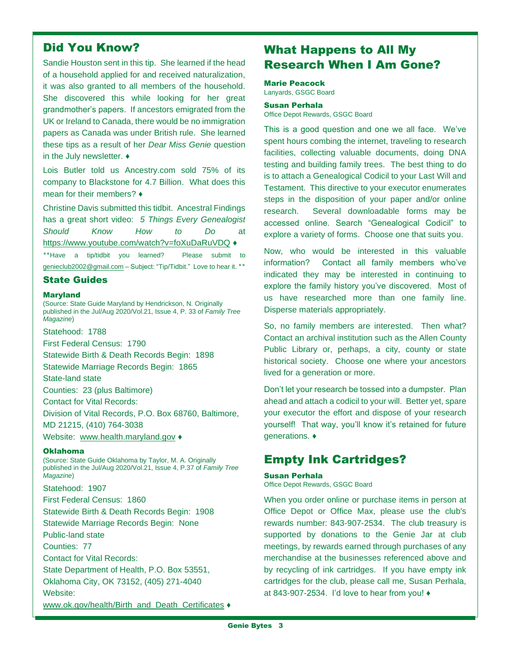## Did You Know?

Sandie Houston sent in this tip. She learned if the head of a household applied for and received naturalization, it was also granted to all members of the household. She discovered this while looking for her great grandmother's papers. If ancestors emigrated from the UK or Ireland to Canada, there would be no immigration papers as Canada was under British rule. She learned these tips as a result of her *Dear Miss Genie* question in the July newsletter. ♦

Lois Butler told us Ancestry.com sold 75% of its company to Blackstone for 4.7 Billion. What does this mean for their members? ♦

Christine Davis submitted this tidbit. Ancestral Findings has a great short video: *5 Things Every Genealogist Should Know How to Do* at <https://www.youtube.com/watch?v=foXuDaRuVDQ> ♦ **٭٭**Have a tip/tidbit you learned? Please submit to [genieclub2002@gmail.com](mailto:genieclub2002@gmail.com) – Subject: "Tip/Tidbit." Love to hear it. **٭٭**

#### State Guides

#### **Maryland**

(Source: State Guide Maryland by Hendrickson, N. Originally published in the Jul/Aug 2020/Vol.21, Issue 4, P. 33 of *Family Tree Magazine*)

Statehood: 1788

First Federal Census: 1790

Statewide Birth & Death Records Begin: 1898

Statewide Marriage Records Begin: 1865

State-land state

Counties: 23 (plus Baltimore)

Contact for Vital Records:

Division of Vital Records, P.O. Box 68760, Baltimore,

MD 21215, (410) 764-3038

Website: [www.health.maryland.gov](http://www.health.maryland.gov/) ♦

#### Oklahoma

(Source: State Guide Oklahoma by Taylor, M. A. Originally published in the Jul/Aug 2020/Vol.21, Issue 4, P.37 of *Family Tree Magazine*)

Statehood: 1907 First Federal Census: 1860 Statewide Birth & Death Records Begin: 1908 Statewide Marriage Records Begin: None Public-land state Counties: 77 Contact for Vital Records: State Department of Health, P.O. Box 53551, Oklahoma City, OK 73152, (405) 271-4040 Website: [www.ok.gov/health/Birth\\_and\\_Death\\_Certificates](http://www.ok.gov/health/Birth_and_Death_Certificates)  $\blacklozenge$ 

## What Happens to All My Research When I Am Gone?

#### Marie Peacock

Lanyards, GSGC Board

#### Susan Perhala

Office Depot Rewards, GSGC Board

This is a good question and one we all face. We've spent hours combing the internet, traveling to research facilities, collecting valuable documents, doing DNA testing and building family trees. The best thing to do is to attach a Genealogical Codicil to your Last Will and Testament. This directive to your executor enumerates steps in the disposition of your paper and/or online research. Several downloadable forms may be accessed online. Search "Genealogical Codicil" to explore a variety of forms. Choose one that suits you.

Now, who would be interested in this valuable information? Contact all family members who've indicated they may be interested in continuing to explore the family history you've discovered. Most of us have researched more than one family line. Disperse materials appropriately.

So, no family members are interested. Then what? Contact an archival institution such as the Allen County Public Library or, perhaps, a city, county or state historical society. Choose one where your ancestors lived for a generation or more.

Don't let your research be tossed into a dumpster. Plan ahead and attach a codicil to your will. Better yet, spare your executor the effort and dispose of your research yourself! That way, you'll know it's retained for future generations. ♦

## Empty Ink Cartridges?

#### Susan Perhala

Office Depot Rewards, GSGC Board

When you order online or purchase items in person at Office Depot or Office Max, please use the club's rewards number: 843-907-2534. The club treasury is supported by donations to the Genie Jar at club meetings, by rewards earned through purchases of any merchandise at the businesses referenced above and by recycling of ink cartridges. If you have empty ink cartridges for the club, please call me, Susan Perhala, at 843-907-2534. I'd love to hear from you! ♦